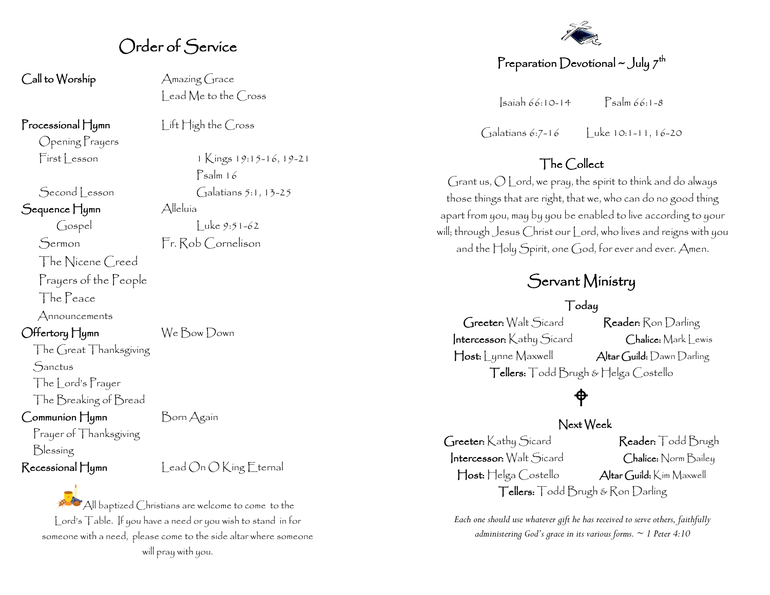#### Order of Service

Call to Worship Amazing Grace

Processional Hymn Lift High the Cross

Opening Prayers

Sequence Hymn Alleluía

The Nicene Creed

Prayers of the People

The Peace

Announcements

Offertory Hymn We Bow Down

The Great Thanksgiving **Sanctus** The Lord's Prayer The Breaking of Bread

Prayer of Thanksgiving

Communion Hymn Born Again

Blessing

 $\mathsf{Recessional}\nparallel$ umn Lead On O King Eternal

All baptized Christians are welcome to come to the Lord's Table. If you have a need or you wish to stand in for someone with a need, please come to the side altar where someone will pray with you.

lead Me to the Cross

First Lesson 1 Kings 19:15-16, 19-21 Psalm 16  $\left[ \begin{array}{cc} \mathsf{Second} \end{array} \right]$  esson  $\left[ \begin{array}{cc} \mathsf{galatians} \end{array} \right], 13-25$  $\int \csc y 9:51-62$ 

Sermon Fr. Rob Cornelison

#### Preparation Devotional ~ July  $\mathcal{I}^\mathsf{th}$

Isaiah 66:10-14 Psalm 66:1-8

Galatians 6:7-16 Luke 10:1-11, 16-20

#### The Collect

Grant us, O Lord, we pray, the spirit to think and do always those things that are right, that we, who can do no good thing apart from you, may by you be enabled to live according to your will; through Jesus Christ our Lord, who lives and reigns with you and the Holy Spirit, one God, for ever and ever. Amen.

### Servant Ministry

Today

Greeter: Walt Sicard Reader: Ron Darling Intercessor: Kathy Sicard Chalice: Mark Lewis Host: Lynne Maxwell Altar Guild: Dawn Darling Tellers: Todd Brugh & Helga Costello

### ♦

#### Next Week

Greeter: Kathy Sicard Reader: Todd Brugh Intercessor: Walt Sicard Chalice: Norm Bailey Host: Helga Costello Altar Guild: Kim Maxwell Tellers: Todd Brugh & Ron Darling

*Each one should use whatever gift he has received to serve others, faithfully administering God's grace in its various forms. ~ 1 Peter 4:10*